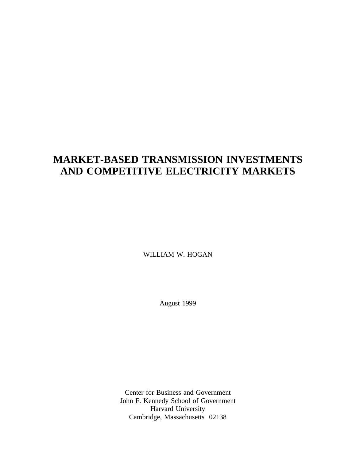# **MARKET-BASED TRANSMISSION INVESTMENTS AND COMPETITIVE ELECTRICITY MARKETS**

WILLIAM W. HOGAN

August 1999

Center for Business and Government John F. Kennedy School of Government Harvard University Cambridge, Massachusetts 02138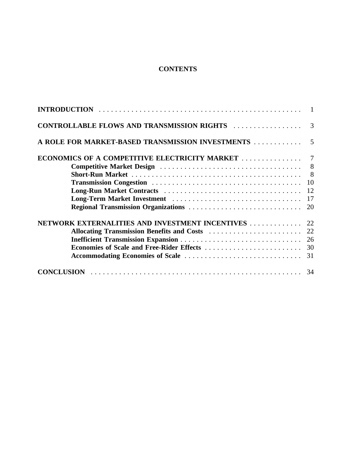## **CONTENTS**

| A ROLE FOR MARKET-BASED TRANSMISSION INVESTMENTS 5         |    |
|------------------------------------------------------------|----|
|                                                            |    |
|                                                            |    |
|                                                            |    |
|                                                            |    |
|                                                            |    |
|                                                            |    |
|                                                            | 20 |
| <b>NETWORK EXTERNALITIES AND INVESTMENT INCENTIVES  22</b> |    |
|                                                            |    |
|                                                            |    |
|                                                            |    |
|                                                            |    |
|                                                            |    |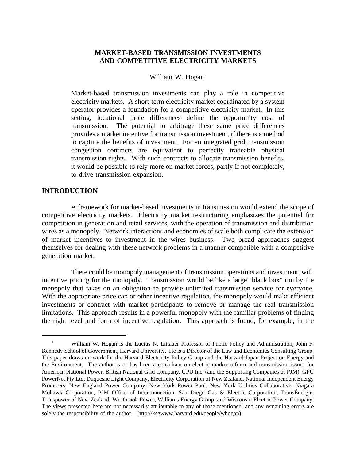## **MARKET-BASED TRANSMISSION INVESTMENTS AND COMPETITIVE ELECTRICITY MARKETS**

#### William W. Hogan $<sup>1</sup>$ </sup>

Market-based transmission investments can play a role in competitive electricity markets. A short-term electricity market coordinated by a system operator provides a foundation for a competitive electricity market. In this setting, locational price differences define the opportunity cost of transmission. The potential to arbitrage these same price differences provides a market incentive for transmission investment, if there is a method to capture the benefits of investment. For an integrated grid, transmission congestion contracts are equivalent to perfectly tradeable physical transmission rights. With such contracts to allocate transmission benefits, it would be possible to rely more on market forces, partly if not completely, to drive transmission expansion.

#### **INTRODUCTION**

A framework for market-based investments in transmission would extend the scope of competitive electricity markets. Electricity market restructuring emphasizes the potential for competition in generation and retail services, with the operation of transmission and distribution wires as a monopoly. Network interactions and economies of scale both complicate the extension of market incentives to investment in the wires business. Two broad approaches suggest themselves for dealing with these network problems in a manner compatible with a competitive generation market.

There could be monopoly management of transmission operations and investment, with incentive pricing for the monopoly. Transmission would be like a large "black box" run by the monopoly that takes on an obligation to provide unlimited transmission service for everyone. With the appropriate price cap or other incentive regulation, the monopoly would make efficient investments or contract with market participants to remove or manage the real transmission limitations. This approach results in a powerful monopoly with the familiar problems of finding the right level and form of incentive regulation. This approach is found, for example, in the

<sup>&</sup>lt;sup>1</sup> William W. Hogan is the Lucius N. Littauer Professor of Public Policy and Administration, John F. Kennedy School of Government, Harvard University. He is a Director of the Law and Economics Consulting Group. This paper draws on work for the Harvard Electricity Policy Group and the Harvard-Japan Project on Energy and the Environment. The author is or has been a consultant on electric market reform and transmission issues for American National Power, British National Grid Company, GPU Inc. (and the Supporting Companies of PJM), GPU PowerNet Pty Ltd, Duquesne Light Company, Electricity Corporation of New Zealand, National Independent Energy Producers, New England Power Company, New York Power Pool, New York Utilities Collaborative, Niagara Mohawk Corporation, PJM Office of Interconnection, San Diego Gas & Electric Corporation, TransÉnergie, Transpower of New Zealand, Westbrook Power, Williams Energy Group, and Wisconsin Electric Power Company. The views presented here are not necessarily attributable to any of those mentioned, and any remaining errors are solely the responsibility of the author. (http://ksgwww.harvard.edu/people/whogan).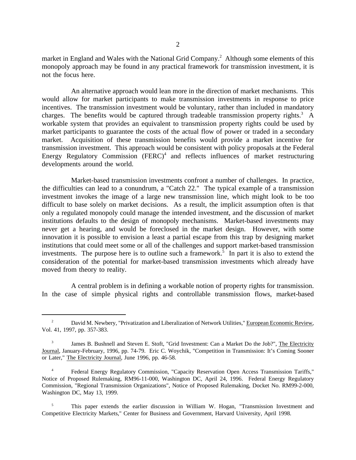market in England and Wales with the National Grid Company.2 Although some elements of this monopoly approach may be found in any practical framework for transmission investment, it is not the focus here.

An alternative approach would lean more in the direction of market mechanisms. This would allow for market participants to make transmission investments in response to price incentives. The transmission investment would be voluntary, rather than included in mandatory charges. The benefits would be captured through tradeable transmission property rights.<sup>3</sup> A workable system that provides an equivalent to transmission property rights could be used by market participants to guarantee the costs of the actual flow of power or traded in a secondary market. Acquisition of these transmission benefits would provide a market incentive for transmission investment. This approach would be consistent with policy proposals at the Federal Energy Regulatory Commission  $(FERC)^4$  and reflects influences of market restructuring developments around the world.

Market-based transmission investments confront a number of challenges. In practice, the difficulties can lead to a conundrum, a "Catch 22." The typical example of a transmission investment invokes the image of a large new transmission line, which might look to be too difficult to base solely on market decisions. As a result, the implicit assumption often is that only a regulated monopoly could manage the intended investment, and the discussion of market institutions defaults to the design of monopoly mechanisms. Market-based investments may never get a hearing, and would be foreclosed in the market design. However, with some innovation it is possible to envision a least a partial escape from this trap by designing market institutions that could meet some or all of the challenges and support market-based transmission investments. The purpose here is to outline such a framework.<sup>5</sup> In part it is also to extend the consideration of the potential for market-based transmission investments which already have moved from theory to reality.

A central problem is in defining a workable notion of property rights for transmission. In the case of simple physical rights and controllable transmission flows, market-based

<sup>&</sup>lt;sup>2</sup> David M. Newbery, "Privatization and Liberalization of Network Utilities," European Economic Review, Vol. 41, 1997, pp. 357-383.

James B. Bushnell and Steven E. Stoft, "Grid Investment: Can a Market Do the Job?", The Electricity Journal, January-February, 1996, pp. 74-79. Eric C. Woychik, "Competition in Transmission: It's Coming Sooner or Later," The Electricity Journal, June 1996, pp. 46-58.

<sup>4</sup> Federal Energy Regulatory Commission, "Capacity Reservation Open Access Transmission Tariffs," Notice of Proposed Rulemaking, RM96-11-000, Washington DC, April 24, 1996. Federal Energy Regulatory Commission, "Regional Transmission Organizations", Notice of Proposed Rulemaking, Docket No. RM99-2-000, Washington DC, May 13, 1999.

<sup>5</sup> This paper extends the earlier discussion in William W. Hogan, "Transmission Investment and Competitive Electricity Markets," Center for Business and Government, Harvard University, April 1998.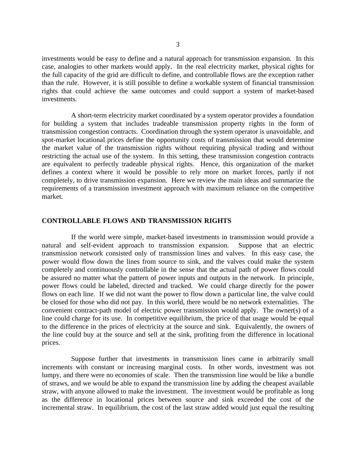investments would be easy to define and a natural approach for transmission expansion. In this case, analogies to other markets would apply. In the real electricity market, physical rights for the full capacity of the grid are difficult to define, and controllable flows are the exception rather than the rule. However, it is still possible to define a workable system of financial transmission rights that could achieve the same outcomes and could support a system of market-based investments.

A short-term electricity market coordinated by a system operator provides a foundation for building a system that includes tradeable transmission property rights in the form of transmission congestion contracts. Coordination through the system operator is unavoidable, and spot-market locational prices define the opportunity costs of transmission that would determine the market value of the transmission rights without requiring physical trading and without restricting the actual use of the system. In this setting, these transmission congestion contracts are equivalent to perfectly tradeable physical rights. Hence, this organization of the market defines a context where it would be possible to rely more on market forces, partly if not completely, to drive transmission expansion. Here we review the main ideas and summarize the requirements of a transmission investment approach with maximum reliance on the competitive market.

#### **CONTROLLABLE FLOWS AND TRANSMISSION RIGHTS**

If the world were simple, market-based investments in transmission would provide a natural and self-evident approach to transmission expansion. Suppose that an electric transmission network consisted only of transmission lines and valves. In this easy case, the power would flow down the lines from source to sink, and the valves could make the system completely and continuously controllable in the sense that the actual path of power flows could be assured no matter what the pattern of power inputs and outputs in the network. In principle, power flows could be labeled, directed and tracked. We could charge directly for the power flows on each line. If we did not want the power to flow down a particular line, the valve could be closed for those who did not pay. In this world, there would be no network externalities. The convenient contract-path model of electric power transmission would apply. The owner(s) of a line could charge for its use. In competitive equilibrium, the price of that usage would be equal to the difference in the prices of electricity at the source and sink. Equivalently, the owners of the line could buy at the source and sell at the sink, profiting from the difference in locational prices.

Suppose further that investments in transmission lines came in arbitrarily small increments with constant or increasing marginal costs. In other words, investment was not lumpy, and there were no economies of scale. Then the transmission line would be like a bundle of straws, and we would be able to expand the transmission line by adding the cheapest available straw, with anyone allowed to make the investment. The investment would be profitable as long as the difference in locational prices between source and sink exceeded the cost of the incremental straw. In equilibrium, the cost of the last straw added would just equal the resulting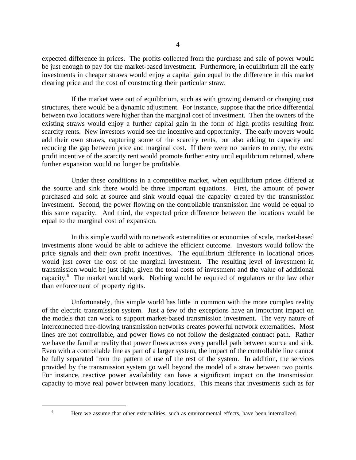expected difference in prices. The profits collected from the purchase and sale of power would be just enough to pay for the market-based investment. Furthermore, in equilibrium all the early investments in cheaper straws would enjoy a capital gain equal to the difference in this market clearing price and the cost of constructing their particular straw.

If the market were out of equilibrium, such as with growing demand or changing cost structures, there would be a dynamic adjustment. For instance, suppose that the price differential between two locations were higher than the marginal cost of investment. Then the owners of the existing straws would enjoy a further capital gain in the form of high profits resulting from scarcity rents. New investors would see the incentive and opportunity. The early movers would add their own straws, capturing some of the scarcity rents, but also adding to capacity and reducing the gap between price and marginal cost. If there were no barriers to entry, the extra profit incentive of the scarcity rent would promote further entry until equilibrium returned, where further expansion would no longer be profitable.

Under these conditions in a competitive market, when equilibrium prices differed at the source and sink there would be three important equations. First, the amount of power purchased and sold at source and sink would equal the capacity created by the transmission investment. Second, the power flowing on the controllable transmission line would be equal to this same capacity. And third, the expected price difference between the locations would be equal to the marginal cost of expansion.

In this simple world with no network externalities or economies of scale, market-based investments alone would be able to achieve the efficient outcome. Investors would follow the price signals and their own profit incentives. The equilibrium difference in locational prices would just cover the cost of the marginal investment. The resulting level of investment in transmission would be just right, given the total costs of investment and the value of additional capacity.6 The market would work. Nothing would be required of regulators or the law other than enforcement of property rights.

Unfortunately, this simple world has little in common with the more complex reality of the electric transmission system. Just a few of the exceptions have an important impact on the models that can work to support market-based transmission investment. The very nature of interconnected free-flowing transmission networks creates powerful network externalities. Most lines are not controllable, and power flows do not follow the designated contract path. Rather we have the familiar reality that power flows across every parallel path between source and sink. Even with a controllable line as part of a larger system, the impact of the controllable line cannot be fully separated from the pattern of use of the rest of the system. In addition, the services provided by the transmission system go well beyond the model of a straw between two points. For instance, reactive power availability can have a significant impact on the transmission capacity to move real power between many locations. This means that investments such as for

<sup>&</sup>lt;sup>6</sup> Here we assume that other externalities, such as environmental effects, have been internalized.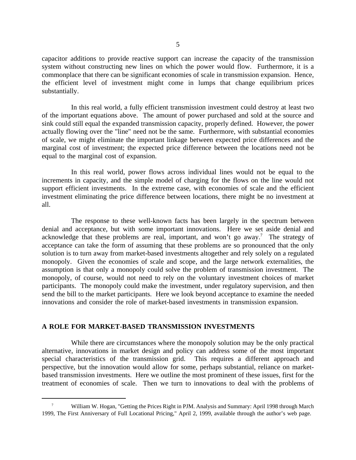capacitor additions to provide reactive support can increase the capacity of the transmission system without constructing new lines on which the power would flow. Furthermore, it is a commonplace that there can be significant economies of scale in transmission expansion. Hence, the efficient level of investment might come in lumps that change equilibrium prices substantially.

In this real world, a fully efficient transmission investment could destroy at least two of the important equations above. The amount of power purchased and sold at the source and sink could still equal the expanded transmission capacity, properly defined. However, the power actually flowing over the "line" need not be the same. Furthermore, with substantial economies of scale, we might eliminate the important linkage between expected price differences and the marginal cost of investment; the expected price difference between the locations need not be equal to the marginal cost of expansion.

In this real world, power flows across individual lines would not be equal to the increments in capacity, and the simple model of charging for the flows on the line would not support efficient investments. In the extreme case, with economies of scale and the efficient investment eliminating the price difference between locations, there might be no investment at all.

The response to these well-known facts has been largely in the spectrum between denial and acceptance, but with some important innovations. Here we set aside denial and acknowledge that these problems are real, important, and won't go away.<sup>7</sup> The strategy of acceptance can take the form of assuming that these problems are so pronounced that the only solution is to turn away from market-based investments altogether and rely solely on a regulated monopoly. Given the economies of scale and scope, and the large network externalities, the assumption is that only a monopoly could solve the problem of transmission investment. The monopoly, of course, would not need to rely on the voluntary investment choices of market participants. The monopoly could make the investment, under regulatory supervision, and then send the bill to the market participants. Here we look beyond acceptance to examine the needed innovations and consider the role of market-based investments in transmission expansion.

#### **A ROLE FOR MARKET-BASED TRANSMISSION INVESTMENTS**

While there are circumstances where the monopoly solution may be the only practical alternative, innovations in market design and policy can address some of the most important special characteristics of the transmission grid. This requires a different approach and perspective, but the innovation would allow for some, perhaps substantial, reliance on marketbased transmission investments. Here we outline the most prominent of these issues, first for the treatment of economies of scale. Then we turn to innovations to deal with the problems of

<sup>7</sup> William W. Hogan, "Getting the Prices Right in PJM. Analysis and Summary: April 1998 through March 1999, The First Anniversary of Full Locational Pricing," April 2, 1999, available through the author's web page.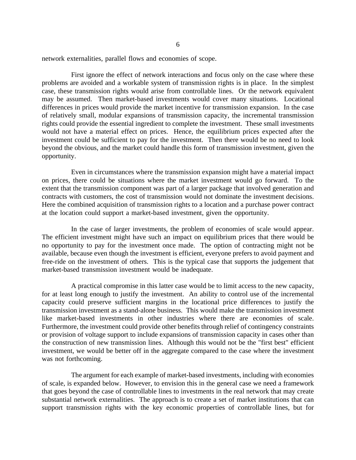network externalities, parallel flows and economies of scope.

First ignore the effect of network interactions and focus only on the case where these problems are avoided and a workable system of transmission rights is in place. In the simplest case, these transmission rights would arise from controllable lines. Or the network equivalent may be assumed. Then market-based investments would cover many situations. Locational differences in prices would provide the market incentive for transmission expansion. In the case of relatively small, modular expansions of transmission capacity, the incremental transmission rights could provide the essential ingredient to complete the investment. These small investments would not have a material effect on prices. Hence, the equilibrium prices expected after the investment could be sufficient to pay for the investment. Then there would be no need to look beyond the obvious, and the market could handle this form of transmission investment, given the opportunity.

Even in circumstances where the transmission expansion might have a material impact on prices, there could be situations where the market investment would go forward. To the extent that the transmission component was part of a larger package that involved generation and contracts with customers, the cost of transmission would not dominate the investment decisions. Here the combined acquisition of transmission rights to a location and a purchase power contract at the location could support a market-based investment, given the opportunity.

In the case of larger investments, the problem of economies of scale would appear. The efficient investment might have such an impact on equilibrium prices that there would be no opportunity to pay for the investment once made. The option of contracting might not be available, because even though the investment is efficient, everyone prefers to avoid payment and free-ride on the investment of others. This is the typical case that supports the judgement that market-based transmission investment would be inadequate.

A practical compromise in this latter case would be to limit access to the new capacity, for at least long enough to justify the investment. An ability to control use of the incremental capacity could preserve sufficient margins in the locational price differences to justify the transmission investment as a stand-alone business. This would make the transmission investment like market-based investments in other industries where there are economies of scale. Furthermore, the investment could provide other benefits through relief of contingency constraints or provision of voltage support to include expansions of transmission capacity in cases other than the construction of new transmission lines. Although this would not be the "first best" efficient investment, we would be better off in the aggregate compared to the case where the investment was not forthcoming.

The argument for each example of market-based investments, including with economies of scale, is expanded below. However, to envision this in the general case we need a framework that goes beyond the case of controllable lines to investments in the real network that may create substantial network externalities. The approach is to create a set of market institutions that can support transmission rights with the key economic properties of controllable lines, but for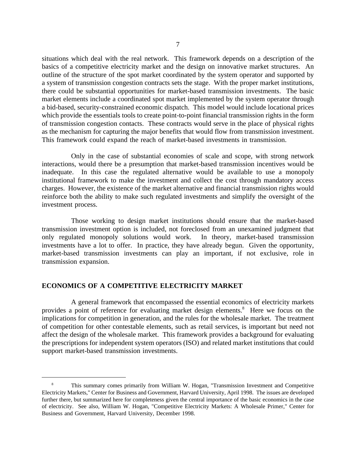situations which deal with the real network. This framework depends on a description of the basics of a competitive electricity market and the design on innovative market structures. An outline of the structure of the spot market coordinated by the system operator and supported by a system of transmission congestion contracts sets the stage. With the proper market institutions, there could be substantial opportunities for market-based transmission investments. The basic market elements include a coordinated spot market implemented by the system operator through a bid-based, security-constrained economic dispatch. This model would include locational prices which provide the essentials tools to create point-to-point financial transmission rights in the form of transmission congestion contacts. These contracts would serve in the place of physical rights as the mechanism for capturing the major benefits that would flow from transmission investment. This framework could expand the reach of market-based investments in transmission.

Only in the case of substantial economies of scale and scope, with strong network interactions, would there be a presumption that market-based transmission incentives would be inadequate. In this case the regulated alternative would be available to use a monopoly institutional framework to make the investment and collect the cost through mandatory access charges. However, the existence of the market alternative and financial transmission rights would reinforce both the ability to make such regulated investments and simplify the oversight of the investment process.

Those working to design market institutions should ensure that the market-based transmission investment option is included, not foreclosed from an unexamined judgment that only regulated monopoly solutions would work. In theory, market-based transmission investments have a lot to offer. In practice, they have already begun. Given the opportunity, market-based transmission investments can play an important, if not exclusive, role in transmission expansion.

#### **ECONOMICS OF A COMPETITIVE ELECTRICITY MARKET**

A general framework that encompassed the essential economics of electricity markets provides a point of reference for evaluating market design elements.8 Here we focus on the implications for competition in generation, and the rules for the wholesale market. The treatment of competition for other contestable elements, such as retail services, is important but need not affect the design of the wholesale market. This framework provides a background for evaluating the prescriptions for independent system operators (ISO) and related market institutions that could support market-based transmission investments.

<sup>&</sup>lt;sup>8</sup> This summary comes primarily from William W. Hogan, "Transmission Investment and Competitive Electricity Markets," Center for Business and Government, Harvard University, April 1998. The issues are developed further there, but summarized here for completeness given the central importance of the basic economics in the case of electricity. See also, William W. Hogan, "Competitive Electricity Markets: A Wholesale Primer," Center for Business and Government, Harvard University, December 1998.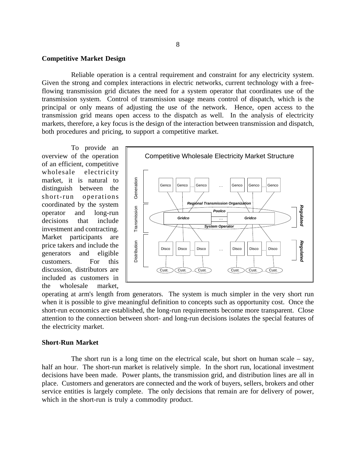#### **Competitive Market Design**

Reliable operation is a central requirement and constraint for any electricity system. Given the strong and complex interactions in electric networks, current technology with a freeflowing transmission grid dictates the need for a system operator that coordinates use of the transmission system. Control of transmission usage means control of dispatch, which is the principal or only means of adjusting the use of the network. Hence, open access to the transmission grid means open access to the dispatch as well. In the analysis of electricity markets, therefore, a key focus is the design of the interaction between transmission and dispatch, both procedures and pricing, to support a competitive market.

To provide an overview of the operation of an efficient, competitive wholesale electricity market, it is natural to distinguish between the short-run operations coordinated by the system operator and long-run decisions that include investment and contracting. Market participants are price takers and include the generators and eligible customers. For this discussion, distributors are included as customers in the wholesale market,



operating at arm's length from generators. The system is much simpler in the very short run when it is possible to give meaningful definition to concepts such as opportunity cost. Once the short-run economics are established, the long-run requirements become more transparent. Close attention to the connection between short- and long-run decisions isolates the special features of the electricity market.

### **Short-Run Market**

The short run is a long time on the electrical scale, but short on human scale  $-$  say, half an hour. The short-run market is relatively simple. In the short run, locational investment decisions have been made. Power plants, the transmission grid, and distribution lines are all in place. Customers and generators are connected and the work of buyers, sellers, brokers and other service entities is largely complete. The only decisions that remain are for delivery of power, which in the short-run is truly a commodity product.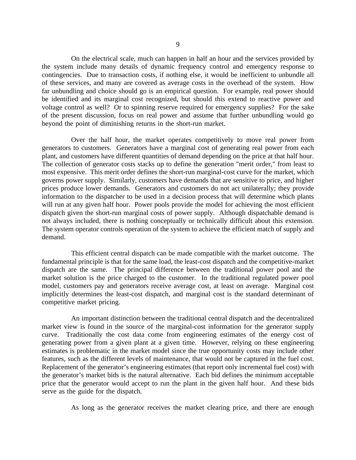On the electrical scale, much can happen in half an hour and the services provided by the system include many details of dynamic frequency control and emergency response to contingencies. Due to transaction costs, if nothing else, it would be inefficient to unbundle all of these services, and many are covered as average costs in the overhead of the system. How far unbundling and choice should go is an empirical question. For example, real power should be identified and its marginal cost recognized, but should this extend to reactive power and voltage control as well? Or to spinning reserve required for emergency supplies? For the sake of the present discussion, focus on real power and assume that further unbundling would go beyond the point of diminishing returns in the short-run market.

Over the half hour, the market operates competitively to move real power from generators to customers. Generators have a marginal cost of generating real power from each plant, and customers have different quantities of demand depending on the price at that half hour. The collection of generator costs stacks up to define the generation "merit order," from least to most expensive. This merit order defines the short-run marginal-cost curve for the market, which governs power supply. Similarly, customers have demands that are sensitive to price, and higher prices produce lower demands. Generators and customers do not act unilaterally; they provide information to the dispatcher to be used in a decision process that will determine which plants will run at any given half hour. Power pools provide the model for achieving the most efficient dispatch given the short-run marginal costs of power supply. Although dispatchable demand is not always included, there is nothing conceptually or technically difficult about this extension. The system operator controls operation of the system to achieve the efficient match of supply and demand.

This efficient central dispatch can be made compatible with the market outcome. The fundamental principle is that for the same load, the least-cost dispatch and the competitive-market dispatch are the same. The principal difference between the traditional power pool and the market solution is the price charged to the customer. In the traditional regulated power pool model, customers pay and generators receive average cost, at least on average. Marginal cost implicitly determines the least-cost dispatch, and marginal cost is the standard determinant of competitive market pricing.

An important distinction between the traditional central dispatch and the decentralized market view is found in the source of the marginal-cost information for the generator supply curve. Traditionally the cost data come from engineering estimates of the energy cost of generating power from a given plant at a given time. However, relying on these engineering estimates is problematic in the market model since the true opportunity costs may include other features, such as the different levels of maintenance, that would not be captured in the fuel cost. Replacement of the generator's engineering estimates (that report only incremental fuel cost) with the generator's market bids is the natural alternative. Each bid defines the minimum acceptable price that the generator would accept to run the plant in the given half hour. And these bids serve as the guide for the dispatch.

As long as the generator receives the market clearing price, and there are enough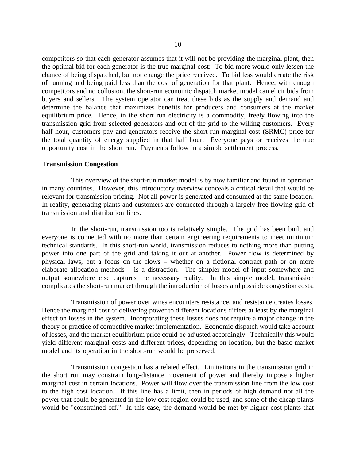competitors so that each generator assumes that it will not be providing the marginal plant, then the optimal bid for each generator is the true marginal cost: To bid more would only lessen the chance of being dispatched, but not change the price received. To bid less would create the risk of running and being paid less than the cost of generation for that plant. Hence, with enough competitors and no collusion, the short-run economic dispatch market model can elicit bids from buyers and sellers. The system operator can treat these bids as the supply and demand and determine the balance that maximizes benefits for producers and consumers at the market equilibrium price. Hence, in the short run electricity is a commodity, freely flowing into the transmission grid from selected generators and out of the grid to the willing customers. Every half hour, customers pay and generators receive the short-run marginal-cost (SRMC) price for the total quantity of energy supplied in that half hour. Everyone pays or receives the true opportunity cost in the short run. Payments follow in a simple settlement process.

#### **Transmission Congestion**

This overview of the short-run market model is by now familiar and found in operation in many countries. However, this introductory overview conceals a critical detail that would be relevant for transmission pricing. Not all power is generated and consumed at the same location. In reality, generating plants and customers are connected through a largely free-flowing grid of transmission and distribution lines.

In the short-run, transmission too is relatively simple. The grid has been built and everyone is connected with no more than certain engineering requirements to meet minimum technical standards. In this short-run world, transmission reduces to nothing more than putting power into one part of the grid and taking it out at another. Power flow is determined by physical laws, but a focus on the flows – whether on a fictional contract path or on more elaborate allocation methods – is a distraction. The simpler model of input somewhere and output somewhere else captures the necessary reality. In this simple model, transmission complicates the short-run market through the introduction of losses and possible congestion costs.

Transmission of power over wires encounters resistance, and resistance creates losses. Hence the marginal cost of delivering power to different locations differs at least by the marginal effect on losses in the system. Incorporating these losses does not require a major change in the theory or practice of competitive market implementation. Economic dispatch would take account of losses, and the market equilibrium price could be adjusted accordingly. Technically this would yield different marginal costs and different prices, depending on location, but the basic market model and its operation in the short-run would be preserved.

Transmission congestion has a related effect. Limitations in the transmission grid in the short run may constrain long-distance movement of power and thereby impose a higher marginal cost in certain locations. Power will flow over the transmission line from the low cost to the high cost location. If this line has a limit, then in periods of high demand not all the power that could be generated in the low cost region could be used, and some of the cheap plants would be "constrained off." In this case, the demand would be met by higher cost plants that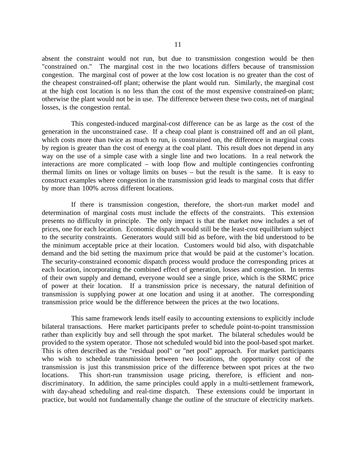absent the constraint would not run, but due to transmission congestion would be then "constrained on." The marginal cost in the two locations differs because of transmission congestion. The marginal cost of power at the low cost location is no greater than the cost of the cheapest constrained-off plant; otherwise the plant would run. Similarly, the marginal cost at the high cost location is no less than the cost of the most expensive constrained-on plant; otherwise the plant would not be in use. The difference between these two costs, net of marginal losses, is the congestion rental.

This congested-induced marginal-cost difference can be as large as the cost of the generation in the unconstrained case. If a cheap coal plant is constrained off and an oil plant, which costs more than twice as much to run, is constrained on, the difference in marginal costs by region is greater than the cost of energy at the coal plant. This result does not depend in any way on the use of a simple case with a single line and two locations. In a real network the interactions are more complicated – with loop flow and multiple contingencies confronting thermal limits on lines or voltage limits on buses – but the result is the same. It is easy to construct examples where congestion in the transmission grid leads to marginal costs that differ by more than 100% across different locations.

If there is transmission congestion, therefore, the short-run market model and determination of marginal costs must include the effects of the constraints. This extension presents no difficulty in principle. The only impact is that the market now includes a set of prices, one for each location. Economic dispatch would still be the least-cost equilibrium subject to the security constraints. Generators would still bid as before, with the bid understood to be the minimum acceptable price at their location. Customers would bid also, with dispatchable demand and the bid setting the maximum price that would be paid at the customer's location. The security-constrained economic dispatch process would produce the corresponding prices at each location, incorporating the combined effect of generation, losses and congestion. In terms of their own supply and demand, everyone would see a single price, which is the SRMC price of power at their location. If a transmission price is necessary, the natural definition of transmission is supplying power at one location and using it at another. The corresponding transmission price would be the difference between the prices at the two locations.

This same framework lends itself easily to accounting extensions to explicitly include bilateral transactions. Here market participants prefer to schedule point-to-point transmission rather than explicitly buy and sell through the spot market. The bilateral schedules would be provided to the system operator. Those not scheduled would bid into the pool-based spot market. This is often described as the "residual pool" or "net pool" approach. For market participants who wish to schedule transmission between two locations, the opportunity cost of the transmission is just this transmission price of the difference between spot prices at the two locations. This short-run transmission usage pricing, therefore, is efficient and nondiscriminatory. In addition, the same principles could apply in a multi-settlement framework, with day-ahead scheduling and real-time dispatch. These extensions could be important in practice, but would not fundamentally change the outline of the structure of electricity markets.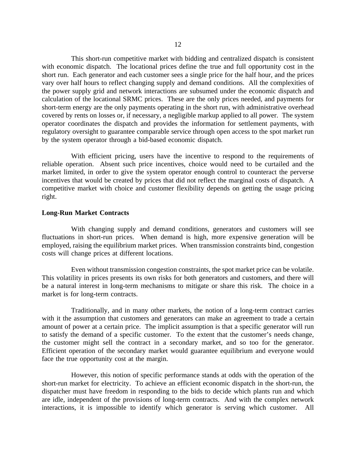This short-run competitive market with bidding and centralized dispatch is consistent with economic dispatch. The locational prices define the true and full opportunity cost in the short run. Each generator and each customer sees a single price for the half hour, and the prices vary over half hours to reflect changing supply and demand conditions. All the complexities of the power supply grid and network interactions are subsumed under the economic dispatch and calculation of the locational SRMC prices. These are the only prices needed, and payments for short-term energy are the only payments operating in the short run, with administrative overhead covered by rents on losses or, if necessary, a negligible markup applied to all power. The system operator coordinates the dispatch and provides the information for settlement payments, with regulatory oversight to guarantee comparable service through open access to the spot market run by the system operator through a bid-based economic dispatch.

With efficient pricing, users have the incentive to respond to the requirements of reliable operation. Absent such price incentives, choice would need to be curtailed and the market limited, in order to give the system operator enough control to counteract the perverse incentives that would be created by prices that did not reflect the marginal costs of dispatch. A competitive market with choice and customer flexibility depends on getting the usage pricing right.

#### **Long-Run Market Contracts**

With changing supply and demand conditions, generators and customers will see fluctuations in short-run prices. When demand is high, more expensive generation will be employed, raising the equilibrium market prices. When transmission constraints bind, congestion costs will change prices at different locations.

Even without transmission congestion constraints, the spot market price can be volatile. This volatility in prices presents its own risks for both generators and customers, and there will be a natural interest in long-term mechanisms to mitigate or share this risk. The choice in a market is for long-term contracts.

Traditionally, and in many other markets, the notion of a long-term contract carries with it the assumption that customers and generators can make an agreement to trade a certain amount of power at a certain price. The implicit assumption is that a specific generator will run to satisfy the demand of a specific customer. To the extent that the customer's needs change, the customer might sell the contract in a secondary market, and so too for the generator. Efficient operation of the secondary market would guarantee equilibrium and everyone would face the true opportunity cost at the margin.

However, this notion of specific performance stands at odds with the operation of the short-run market for electricity. To achieve an efficient economic dispatch in the short-run, the dispatcher must have freedom in responding to the bids to decide which plants run and which are idle, independent of the provisions of long-term contracts. And with the complex network interactions, it is impossible to identify which generator is serving which customer. All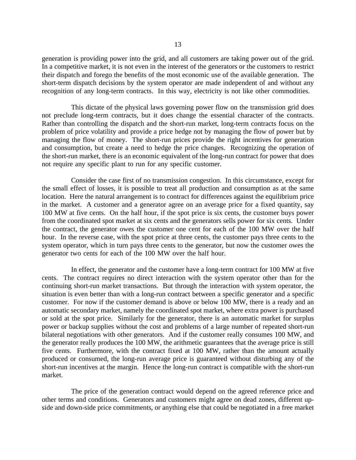generation is providing power into the grid, and all customers are taking power out of the grid. In a competitive market, it is not even in the interest of the generators or the customers to restrict their dispatch and forego the benefits of the most economic use of the available generation. The short-term dispatch decisions by the system operator are made independent of and without any recognition of any long-term contracts. In this way, electricity is not like other commodities.

This dictate of the physical laws governing power flow on the transmission grid does not preclude long-term contracts, but it does change the essential character of the contracts. Rather than controlling the dispatch and the short-run market, long-term contracts focus on the problem of price volatility and provide a price hedge not by managing the flow of power but by managing the flow of money. The short-run prices provide the right incentives for generation and consumption, but create a need to hedge the price changes. Recognizing the operation of the short-run market, there is an economic equivalent of the long-run contract for power that does not require any specific plant to run for any specific customer.

Consider the case first of no transmission congestion. In this circumstance, except for the small effect of losses, it is possible to treat all production and consumption as at the same location. Here the natural arrangement is to contract for differences against the equilibrium price in the market. A customer and a generator agree on an average price for a fixed quantity, say 100 MW at five cents. On the half hour, if the spot price is six cents, the customer buys power from the coordinated spot market at six cents and the generators sells power for six cents. Under the contract, the generator owes the customer one cent for each of the 100 MW over the half hour. In the reverse case, with the spot price at three cents, the customer pays three cents to the system operator, which in turn pays three cents to the generator, but now the customer owes the generator two cents for each of the 100 MW over the half hour.

In effect, the generator and the customer have a long-term contract for 100 MW at five cents. The contract requires no direct interaction with the system operator other than for the continuing short-run market transactions. But through the interaction with system operator, the situation is even better than with a long-run contract between a specific generator and a specific customer. For now if the customer demand is above or below 100 MW, there is a ready and an automatic secondary market, namely the coordinated spot market, where extra power is purchased or sold at the spot price. Similarly for the generator, there is an automatic market for surplus power or backup supplies without the cost and problems of a large number of repeated short-run bilateral negotiations with other generators. And if the customer really consumes 100 MW, and the generator really produces the 100 MW, the arithmetic guarantees that the average price is still five cents. Furthermore, with the contract fixed at 100 MW, rather than the amount actually produced or consumed, the long-run average price is guaranteed without disturbing any of the short-run incentives at the margin. Hence the long-run contract is compatible with the short-run market.

The price of the generation contract would depend on the agreed reference price and other terms and conditions. Generators and customers might agree on dead zones, different upside and down-side price commitments, or anything else that could be negotiated in a free market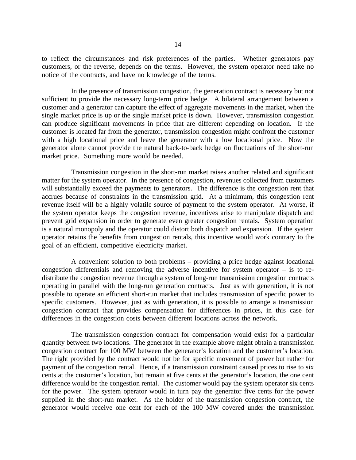to reflect the circumstances and risk preferences of the parties. Whether generators pay customers, or the reverse, depends on the terms. However, the system operator need take no notice of the contracts, and have no knowledge of the terms.

In the presence of transmission congestion, the generation contract is necessary but not sufficient to provide the necessary long-term price hedge. A bilateral arrangement between a customer and a generator can capture the effect of aggregate movements in the market, when the single market price is up or the single market price is down. However, transmission congestion can produce significant movements in price that are different depending on location. If the customer is located far from the generator, transmission congestion might confront the customer with a high locational price and leave the generator with a low locational price. Now the generator alone cannot provide the natural back-to-back hedge on fluctuations of the short-run market price. Something more would be needed.

Transmission congestion in the short-run market raises another related and significant matter for the system operator. In the presence of congestion, revenues collected from customers will substantially exceed the payments to generators. The difference is the congestion rent that accrues because of constraints in the transmission grid. At a minimum, this congestion rent revenue itself will be a highly volatile source of payment to the system operator. At worse, if the system operator keeps the congestion revenue, incentives arise to manipulate dispatch and prevent grid expansion in order to generate even greater congestion rentals. System operation is a natural monopoly and the operator could distort both dispatch and expansion. If the system operator retains the benefits from congestion rentals, this incentive would work contrary to the goal of an efficient, competitive electricity market.

A convenient solution to both problems – providing a price hedge against locational congestion differentials and removing the adverse incentive for system operator – is to redistribute the congestion revenue through a system of long-run transmission congestion contracts operating in parallel with the long-run generation contracts. Just as with generation, it is not possible to operate an efficient short-run market that includes transmission of specific power to specific customers. However, just as with generation, it is possible to arrange a transmission congestion contract that provides compensation for differences in prices, in this case for differences in the congestion costs between different locations across the network.

The transmission congestion contract for compensation would exist for a particular quantity between two locations. The generator in the example above might obtain a transmission congestion contract for 100 MW between the generator's location and the customer's location. The right provided by the contract would not be for specific movement of power but rather for payment of the congestion rental. Hence, if a transmission constraint caused prices to rise to six cents at the customer's location, but remain at five cents at the generator's location, the one cent difference would be the congestion rental. The customer would pay the system operator six cents for the power. The system operator would in turn pay the generator five cents for the power supplied in the short-run market. As the holder of the transmission congestion contract, the generator would receive one cent for each of the 100 MW covered under the transmission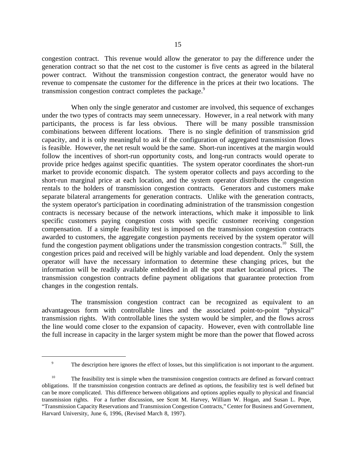congestion contract. This revenue would allow the generator to pay the difference under the generation contract so that the net cost to the customer is five cents as agreed in the bilateral power contract. Without the transmission congestion contract, the generator would have no revenue to compensate the customer for the difference in the prices at their two locations. The transmission congestion contract completes the package.<sup>9</sup>

When only the single generator and customer are involved, this sequence of exchanges under the two types of contracts may seem unnecessary. However, in a real network with many participants, the process is far less obvious. There will be many possible transmission combinations between different locations. There is no single definition of transmission grid capacity, and it is only meaningful to ask if the configuration of aggregated transmission flows is feasible. However, the net result would be the same. Short-run incentives at the margin would follow the incentives of short-run opportunity costs, and long-run contracts would operate to provide price hedges against specific quantities. The system operator coordinates the short-run market to provide economic dispatch. The system operator collects and pays according to the short-run marginal price at each location, and the system operator distributes the congestion rentals to the holders of transmission congestion contracts. Generators and customers make separate bilateral arrangements for generation contracts. Unlike with the generation contracts, the system operator's participation in coordinating administration of the transmission congestion contracts is necessary because of the network interactions, which make it impossible to link specific customers paying congestion costs with specific customer receiving congestion compensation. If a simple feasibility test is imposed on the transmission congestion contracts awarded to customers, the aggregate congestion payments received by the system operator will fund the congestion payment obligations under the transmission congestion contracts.<sup>10</sup> Still, the congestion prices paid and received will be highly variable and load dependent. Only the system operator will have the necessary information to determine these changing prices, but the information will be readily available embedded in all the spot market locational prices. The transmission congestion contracts define payment obligations that guarantee protection from changes in the congestion rentals.

The transmission congestion contract can be recognized as equivalent to an advantageous form with controllable lines and the associated point-to-point "physical" transmission rights. With controllable lines the system would be simpler, and the flows across the line would come closer to the expansion of capacity. However, even with controllable line the full increase in capacity in the larger system might be more than the power that flowed across

<sup>9</sup> The description here ignores the effect of losses, but this simplification is not important to the argument.

<sup>10</sup> The feasibility test is simple when the transmission congestion contracts are defined as forward contract obligations. If the transmission congestion contracts are defined as options, the feasibility test is well defined but can be more complicated. This difference between obligations and options applies equally to physical and financial transmission rights. For a further discussion, see Scott M. Harvey, William W. Hogan, and Susan L. Pope, "Transmission Capacity Reservations and Transmission Congestion Contracts," Center for Business and Government, Harvard University, June 6, 1996, (Revised March 8, 1997).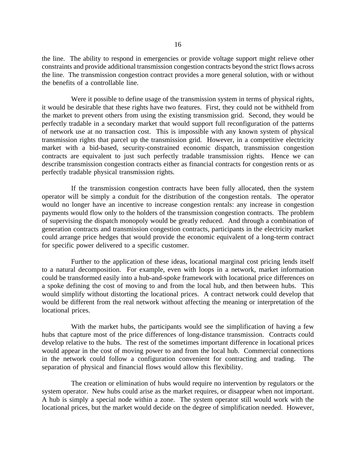the line. The ability to respond in emergencies or provide voltage support might relieve other constraints and provide additional transmission congestion contracts beyond the strict flows across the line. The transmission congestion contract provides a more general solution, with or without the benefits of a controllable line.

Were it possible to define usage of the transmission system in terms of physical rights, it would be desirable that these rights have two features. First, they could not be withheld from the market to prevent others from using the existing transmission grid. Second, they would be perfectly tradable in a secondary market that would support full reconfiguration of the patterns of network use at no transaction cost. This is impossible with any known system of physical transmission rights that parcel up the transmission grid. However, in a competitive electricity market with a bid-based, security-constrained economic dispatch, transmission congestion contracts are equivalent to just such perfectly tradable transmission rights. Hence we can describe transmission congestion contracts either as financial contracts for congestion rents or as perfectly tradable physical transmission rights.

If the transmission congestion contracts have been fully allocated, then the system operator will be simply a conduit for the distribution of the congestion rentals. The operator would no longer have an incentive to increase congestion rentals: any increase in congestion payments would flow only to the holders of the transmission congestion contracts. The problem of supervising the dispatch monopoly would be greatly reduced. And through a combination of generation contracts and transmission congestion contracts, participants in the electricity market could arrange price hedges that would provide the economic equivalent of a long-term contract for specific power delivered to a specific customer.

Further to the application of these ideas, locational marginal cost pricing lends itself to a natural decomposition. For example, even with loops in a network, market information could be transformed easily into a hub-and-spoke framework with locational price differences on a spoke defining the cost of moving to and from the local hub, and then between hubs. This would simplify without distorting the locational prices. A contract network could develop that would be different from the real network without affecting the meaning or interpretation of the locational prices.

With the market hubs, the participants would see the simplification of having a few hubs that capture most of the price differences of long-distance transmission. Contracts could develop relative to the hubs. The rest of the sometimes important difference in locational prices would appear in the cost of moving power to and from the local hub. Commercial connections in the network could follow a configuration convenient for contracting and trading. The separation of physical and financial flows would allow this flexibility.

The creation or elimination of hubs would require no intervention by regulators or the system operator. New hubs could arise as the market requires, or disappear when not important. A hub is simply a special node within a zone. The system operator still would work with the locational prices, but the market would decide on the degree of simplification needed. However,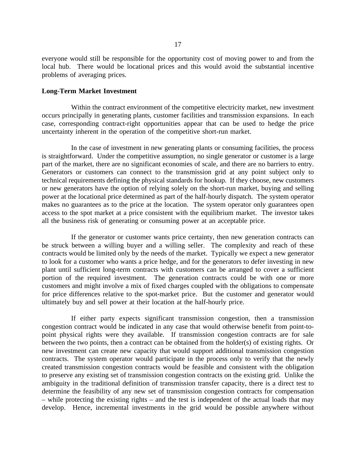everyone would still be responsible for the opportunity cost of moving power to and from the local hub. There would be locational prices and this would avoid the substantial incentive problems of averaging prices.

#### **Long-Term Market Investment**

Within the contract environment of the competitive electricity market, new investment occurs principally in generating plants, customer facilities and transmission expansions. In each case, corresponding contract-right opportunities appear that can be used to hedge the price uncertainty inherent in the operation of the competitive short-run market.

In the case of investment in new generating plants or consuming facilities, the process is straightforward. Under the competitive assumption, no single generator or customer is a large part of the market, there are no significant economies of scale, and there are no barriers to entry. Generators or customers can connect to the transmission grid at any point subject only to technical requirements defining the physical standards for hookup. If they choose, new customers or new generators have the option of relying solely on the short-run market, buying and selling power at the locational price determined as part of the half-hourly dispatch. The system operator makes no guarantees as to the price at the location. The system operator only guarantees open access to the spot market at a price consistent with the equilibrium market. The investor takes all the business risk of generating or consuming power at an acceptable price.

If the generator or customer wants price certainty, then new generation contracts can be struck between a willing buyer and a willing seller. The complexity and reach of these contracts would be limited only by the needs of the market. Typically we expect a new generator to look for a customer who wants a price hedge, and for the generators to defer investing in new plant until sufficient long-term contracts with customers can be arranged to cover a sufficient portion of the required investment. The generation contracts could be with one or more customers and might involve a mix of fixed charges coupled with the obligations to compensate for price differences relative to the spot-market price. But the customer and generator would ultimately buy and sell power at their location at the half-hourly price.

If either party expects significant transmission congestion, then a transmission congestion contract would be indicated in any case that would otherwise benefit from point-topoint physical rights were they available. If transmission congestion contracts are for sale between the two points, then a contract can be obtained from the holder(s) of existing rights. Or new investment can create new capacity that would support additional transmission congestion contracts. The system operator would participate in the process only to verify that the newly created transmission congestion contracts would be feasible and consistent with the obligation to preserve any existing set of transmission congestion contracts on the existing grid. Unlike the ambiguity in the traditional definition of transmission transfer capacity, there is a direct test to determine the feasibility of any new set of transmission congestion contracts for compensation – while protecting the existing rights – and the test is independent of the actual loads that may develop. Hence, incremental investments in the grid would be possible anywhere without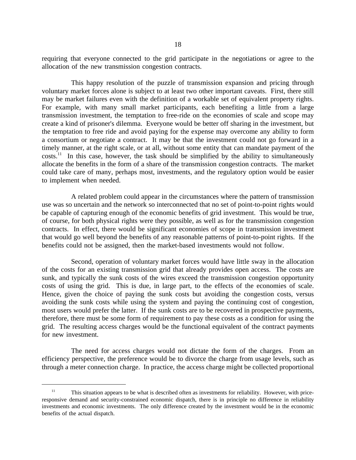requiring that everyone connected to the grid participate in the negotiations or agree to the allocation of the new transmission congestion contracts.

This happy resolution of the puzzle of transmission expansion and pricing through voluntary market forces alone is subject to at least two other important caveats. First, there still may be market failures even with the definition of a workable set of equivalent property rights. For example, with many small market participants, each benefiting a little from a large transmission investment, the temptation to free-ride on the economies of scale and scope may create a kind of prisoner's dilemma. Everyone would be better off sharing in the investment, but the temptation to free ride and avoid paying for the expense may overcome any ability to form a consortium or negotiate a contract. It may be that the investment could not go forward in a timely manner, at the right scale, or at all, without some entity that can mandate payment of the  $costs<sup>11</sup>$  In this case, however, the task should be simplified by the ability to simultaneously allocate the benefits in the form of a share of the transmission congestion contracts. The market could take care of many, perhaps most, investments, and the regulatory option would be easier to implement when needed.

A related problem could appear in the circumstances where the pattern of transmission use was so uncertain and the network so interconnected that no set of point-to-point rights would be capable of capturing enough of the economic benefits of grid investment. This would be true, of course, for both physical rights were they possible, as well as for the transmission congestion contracts. In effect, there would be significant economies of scope in transmission investment that would go well beyond the benefits of any reasonable patterns of point-to-point rights. If the benefits could not be assigned, then the market-based investments would not follow.

Second, operation of voluntary market forces would have little sway in the allocation of the costs for an existing transmission grid that already provides open access. The costs are sunk, and typically the sunk costs of the wires exceed the transmission congestion opportunity costs of using the grid. This is due, in large part, to the effects of the economies of scale. Hence, given the choice of paying the sunk costs but avoiding the congestion costs, versus avoiding the sunk costs while using the system and paying the continuing cost of congestion, most users would prefer the latter. If the sunk costs are to be recovered in prospective payments, therefore, there must be some form of requirement to pay these costs as a condition for using the grid. The resulting access charges would be the functional equivalent of the contract payments for new investment.

The need for access charges would not dictate the form of the charges. From an efficiency perspective, the preference would be to divorce the charge from usage levels, such as through a meter connection charge. In practice, the access charge might be collected proportional

<sup>&</sup>lt;sup>11</sup> This situation appears to be what is described often as investments for reliability. However, with priceresponsive demand and security-constrained economic dispatch, there is in principle no difference in reliability investments and economic investments. The only difference created by the investment would be in the economic benefits of the actual dispatch.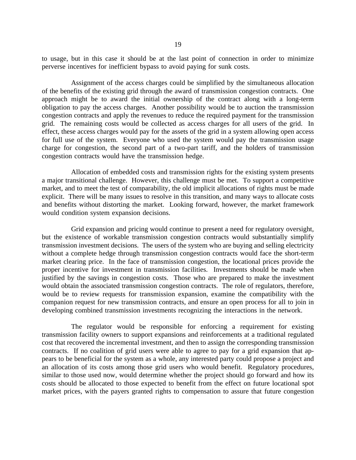to usage, but in this case it should be at the last point of connection in order to minimize perverse incentives for inefficient bypass to avoid paying for sunk costs.

Assignment of the access charges could be simplified by the simultaneous allocation of the benefits of the existing grid through the award of transmission congestion contracts. One approach might be to award the initial ownership of the contract along with a long-term obligation to pay the access charges. Another possibility would be to auction the transmission congestion contracts and apply the revenues to reduce the required payment for the transmission grid. The remaining costs would be collected as access charges for all users of the grid. In effect, these access charges would pay for the assets of the grid in a system allowing open access for full use of the system. Everyone who used the system would pay the transmission usage charge for congestion, the second part of a two-part tariff, and the holders of transmission congestion contracts would have the transmission hedge.

Allocation of embedded costs and transmission rights for the existing system presents a major transitional challenge. However, this challenge must be met. To support a competitive market, and to meet the test of comparability, the old implicit allocations of rights must be made explicit. There will be many issues to resolve in this transition, and many ways to allocate costs and benefits without distorting the market. Looking forward, however, the market framework would condition system expansion decisions.

Grid expansion and pricing would continue to present a need for regulatory oversight, but the existence of workable transmission congestion contracts would substantially simplify transmission investment decisions. The users of the system who are buying and selling electricity without a complete hedge through transmission congestion contracts would face the short-term market clearing price. In the face of transmission congestion, the locational prices provide the proper incentive for investment in transmission facilities. Investments should be made when justified by the savings in congestion costs. Those who are prepared to make the investment would obtain the associated transmission congestion contracts. The role of regulators, therefore, would be to review requests for transmission expansion, examine the compatibility with the companion request for new transmission contracts, and ensure an open process for all to join in developing combined transmission investments recognizing the interactions in the network.

The regulator would be responsible for enforcing a requirement for existing transmission facility owners to support expansions and reinforcements at a traditional regulated cost that recovered the incremental investment, and then to assign the corresponding transmission contracts. If no coalition of grid users were able to agree to pay for a grid expansion that appears to be beneficial for the system as a whole, any interested party could propose a project and an allocation of its costs among those grid users who would benefit. Regulatory procedures, similar to those used now, would determine whether the project should go forward and how its costs should be allocated to those expected to benefit from the effect on future locational spot market prices, with the payers granted rights to compensation to assure that future congestion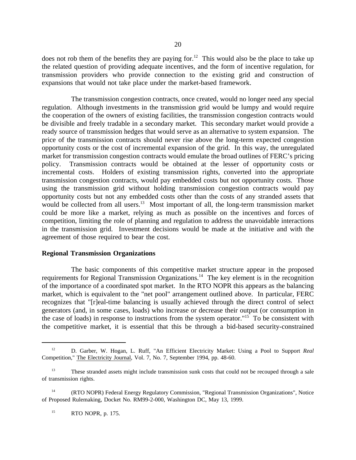does not rob them of the benefits they are paying for.<sup>12</sup> This would also be the place to take up the related question of providing adequate incentives, and the form of incentive regulation, for transmission providers who provide connection to the existing grid and construction of expansions that would not take place under the market-based framework.

The transmission congestion contracts, once created, would no longer need any special regulation. Although investments in the transmission grid would be lumpy and would require the cooperation of the owners of existing facilities, the transmission congestion contracts would be divisible and freely tradable in a secondary market. This secondary market would provide a ready source of transmission hedges that would serve as an alternative to system expansion. The price of the transmission contracts should never rise above the long-term expected congestion opportunity costs or the cost of incremental expansion of the grid. In this way, the unregulated market for transmission congestion contracts would emulate the broad outlines of FERC's pricing policy. Transmission contracts would be obtained at the lesser of opportunity costs or incremental costs. Holders of existing transmission rights, converted into the appropriate transmission congestion contracts, would pay embedded costs but not opportunity costs. Those using the transmission grid without holding transmission congestion contracts would pay opportunity costs but not any embedded costs other than the costs of any stranded assets that would be collected from all users. $13$  Most important of all, the long-term transmission market could be more like a market, relying as much as possible on the incentives and forces of competition, limiting the role of planning and regulation to address the unavoidable interactions in the transmission grid. Investment decisions would be made at the initiative and with the agreement of those required to bear the cost.

#### **Regional Transmission Organizations**

The basic components of this competitive market structure appear in the proposed requirements for Regional Transmission Organizations.<sup>14</sup> The key element is in the recognition of the importance of a coordinated spot market. In the RTO NOPR this appears as the balancing market, which is equivalent to the "net pool" arrangement outlined above. In particular, FERC recognizes that "[r]eal-time balancing is usually achieved through the direct control of select generators (and, in some cases, loads) who increase or decrease their output (or consumption in the case of loads) in response to instructions from the system operator."<sup>15</sup> To be consistent with the competitive market, it is essential that this be through a bid-based security-constrained

<sup>12</sup> D. Garber, W. Hogan, L. Ruff, "An Efficient Electricity Market: Using a Pool to Support *Real* Competition," The Electricity Journal, Vol. 7, No. 7, September 1994, pp. 48-60.

<sup>&</sup>lt;sup>13</sup> These stranded assets might include transmission sunk costs that could not be recouped through a sale of transmission rights.

<sup>14</sup> (RTO NOPR) Federal Energy Regulatory Commission, "Regional Transmission Organizations", Notice of Proposed Rulemaking, Docket No. RM99-2-000, Washington DC, May 13, 1999.

<sup>15</sup> RTO NOPR, p. 175.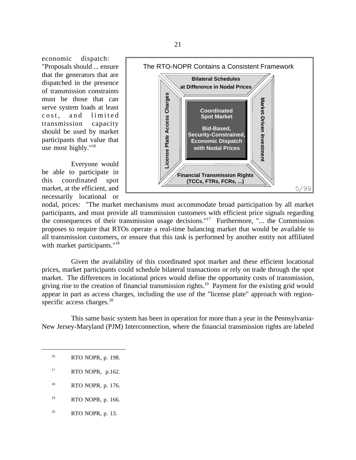economic dispatch: "Proposals should ... ensure that the generators that are dispatched in the presence of transmission constraints must be those that can serve system loads at least cost, and limited transmission capacity should be used by market participants that value that use most highly."16

Everyone would be able to participate in this coordinated spot market, at the efficient, and necessarily locational or



nodal, prices: "The market mechanisms must accommodate broad participation by all market participants, and must provide all transmission customers with efficient price signals regarding the consequences of their transmission usage decisions."<sup>17</sup> Furthermore, "... the Commission proposes to require that RTOs operate a real-time balancing market that would be available to all transmission customers, or ensure that this task is performed by another entity not affiliated with market participants."<sup>18</sup>

Given the availability of this coordinated spot market and these efficient locational prices, market participants could schedule bilateral transactions or rely on trade through the spot market. The differences in locational prices would define the opportunity costs of transmission, giving rise to the creation of financial transmission rights.<sup>19</sup> Payment for the existing grid would appear in part as access charges, including the use of the "license plate" approach with regionspecific access charges. $20$ 

This same basic system has been in operation for more than a year in the Pennsylvania-New Jersey-Maryland (PJM) Interconnection, where the financial transmission rights are labeled

- <sup>18</sup> RTO NOPR, p. 176.
- <sup>19</sup> RTO NOPR, p. 166.
- $20$  RTO NOPR, p. 13.

<sup>16</sup> RTO NOPR, p. 198.

<sup>&</sup>lt;sup>17</sup> RTO NOPR, p.162.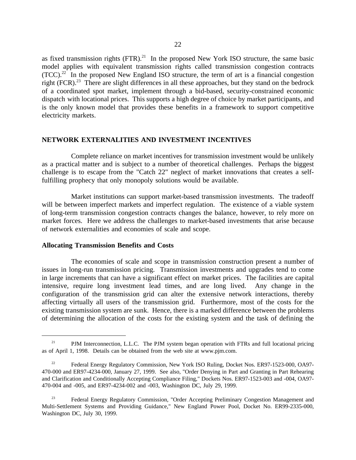as fixed transmission rights  $(FTR)^{21}$  In the proposed New York ISO structure, the same basic model applies with equivalent transmission rights called transmission congestion contracts  $(TCC)$ <sup>22</sup> In the proposed New England ISO structure, the term of art is a financial congestion right (FCR).<sup>23</sup> There are slight differences in all these approaches, but they stand on the bedrock of a coordinated spot market, implement through a bid-based, security-constrained economic dispatch with locational prices. This supports a high degree of choice by market participants, and is the only known model that provides these benefits in a framework to support competitive electricity markets.

#### **NETWORK EXTERNALITIES AND INVESTMENT INCENTIVES**

Complete reliance on market incentives for transmission investment would be unlikely as a practical matter and is subject to a number of theoretical challenges. Perhaps the biggest challenge is to escape from the "Catch 22" neglect of market innovations that creates a selffulfilling prophecy that only monopoly solutions would be available.

Market institutions can support market-based transmission investments. The tradeoff will be between imperfect markets and imperfect regulation. The existence of a viable system of long-term transmission congestion contracts changes the balance, however, to rely more on market forces. Here we address the challenges to market-based investments that arise because of network externalities and economies of scale and scope.

#### **Allocating Transmission Benefits and Costs**

The economies of scale and scope in transmission construction present a number of issues in long-run transmission pricing. Transmission investments and upgrades tend to come in large increments that can have a significant effect on market prices. The facilities are capital intensive, require long investment lead times, and are long lived. Any change in the configuration of the transmission grid can alter the extensive network interactions, thereby affecting virtually all users of the transmission grid. Furthermore, most of the costs for the existing transmission system are sunk. Hence, there is a marked difference between the problems of determining the allocation of the costs for the existing system and the task of defining the

<sup>&</sup>lt;sup>21</sup> PJM Interconnection, L.L.C. The PJM system began operation with FTRs and full locational pricing as of April 1, 1998. Details can be obtained from the web site at www.pjm.com.

<sup>&</sup>lt;sup>22</sup> Federal Energy Regulatory Commission, New York ISO Ruling, Docket Nos. ER97-1523-000, OA97-470-000 and ER97-4234-000, January 27, 1999. See also, "Order Denying in Part and Granting in Part Rehearing and Clarification and Conditionally Accepting Compliance Filing," Dockets Nos. ER97-1523-003 and -004, OA97- 470-004 and -005, and ER97-4234-002 and -003, Washington DC, July 29, 1999.

<sup>&</sup>lt;sup>23</sup> Federal Energy Regulatory Commission, "Order Accepting Preliminary Congestion Management and Multi-Settlement Systems and Providing Guidance," New England Power Pool, Docket No. ER99-2335-000, Washington DC, July 30, 1999.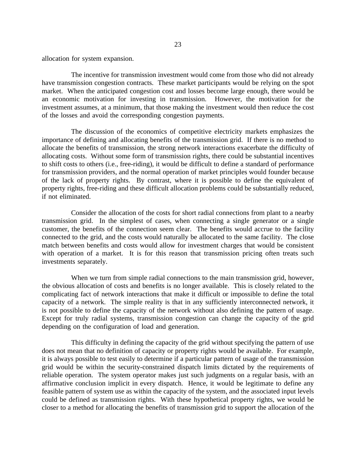allocation for system expansion.

The incentive for transmission investment would come from those who did not already have transmission congestion contracts. These market participants would be relying on the spot market. When the anticipated congestion cost and losses become large enough, there would be an economic motivation for investing in transmission. However, the motivation for the investment assumes, at a minimum, that those making the investment would then reduce the cost of the losses and avoid the corresponding congestion payments.

The discussion of the economics of competitive electricity markets emphasizes the importance of defining and allocating benefits of the transmission grid. If there is no method to allocate the benefits of transmission, the strong network interactions exacerbate the difficulty of allocating costs. Without some form of transmission rights, there could be substantial incentives to shift costs to others (i.e., free-riding), it would be difficult to define a standard of performance for transmission providers, and the normal operation of market principles would founder because of the lack of property rights. By contrast, where it is possible to define the equivalent of property rights, free-riding and these difficult allocation problems could be substantially reduced, if not eliminated.

Consider the allocation of the costs for short radial connections from plant to a nearby transmission grid. In the simplest of cases, when connecting a single generator or a single customer, the benefits of the connection seem clear. The benefits would accrue to the facility connected to the grid, and the costs would naturally be allocated to the same facility. The close match between benefits and costs would allow for investment charges that would be consistent with operation of a market. It is for this reason that transmission pricing often treats such investments separately.

When we turn from simple radial connections to the main transmission grid, however, the obvious allocation of costs and benefits is no longer available. This is closely related to the complicating fact of network interactions that make it difficult or impossible to define the total capacity of a network. The simple reality is that in any sufficiently interconnected network, it is not possible to define the capacity of the network without also defining the pattern of usage. Except for truly radial systems, transmission congestion can change the capacity of the grid depending on the configuration of load and generation.

This difficulty in defining the capacity of the grid without specifying the pattern of use does not mean that no definition of capacity or property rights would be available. For example, it is always possible to test easily to determine if a particular pattern of usage of the transmission grid would be within the security-constrained dispatch limits dictated by the requirements of reliable operation. The system operator makes just such judgments on a regular basis, with an affirmative conclusion implicit in every dispatch. Hence, it would be legitimate to define any feasible pattern of system use as within the capacity of the system, and the associated input levels could be defined as transmission rights. With these hypothetical property rights, we would be closer to a method for allocating the benefits of transmission grid to support the allocation of the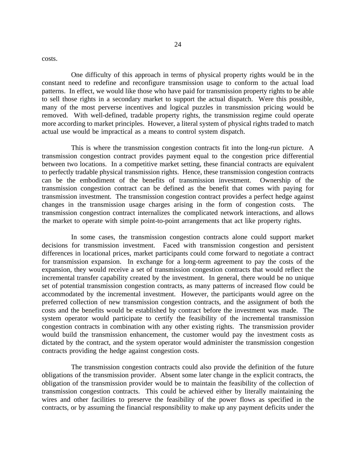costs.

One difficulty of this approach in terms of physical property rights would be in the constant need to redefine and reconfigure transmission usage to conform to the actual load patterns. In effect, we would like those who have paid for transmission property rights to be able to sell those rights in a secondary market to support the actual dispatch. Were this possible, many of the most perverse incentives and logical puzzles in transmission pricing would be removed. With well-defined, tradable property rights, the transmission regime could operate more according to market principles. However, a literal system of physical rights traded to match actual use would be impractical as a means to control system dispatch.

This is where the transmission congestion contracts fit into the long-run picture. A transmission congestion contract provides payment equal to the congestion price differential between two locations. In a competitive market setting, these financial contracts are equivalent to perfectly tradable physical transmission rights. Hence, these transmission congestion contracts can be the embodiment of the benefits of transmission investment. Ownership of the transmission congestion contract can be defined as the benefit that comes with paying for transmission investment. The transmission congestion contract provides a perfect hedge against changes in the transmission usage charges arising in the form of congestion costs. The transmission congestion contract internalizes the complicated network interactions, and allows the market to operate with simple point-to-point arrangements that act like property rights.

In some cases, the transmission congestion contracts alone could support market decisions for transmission investment. Faced with transmission congestion and persistent differences in locational prices, market participants could come forward to negotiate a contract for transmission expansion. In exchange for a long-term agreement to pay the costs of the expansion, they would receive a set of transmission congestion contracts that would reflect the incremental transfer capability created by the investment. In general, there would be no unique set of potential transmission congestion contracts, as many patterns of increased flow could be accommodated by the incremental investment. However, the participants would agree on the preferred collection of new transmission congestion contracts, and the assignment of both the costs and the benefits would be established by contract before the investment was made. The system operator would participate to certify the feasibility of the incremental transmission congestion contracts in combination with any other existing rights. The transmission provider would build the transmission enhancement, the customer would pay the investment costs as dictated by the contract, and the system operator would administer the transmission congestion contracts providing the hedge against congestion costs.

The transmission congestion contracts could also provide the definition of the future obligations of the transmission provider. Absent some later change in the explicit contracts, the obligation of the transmission provider would be to maintain the feasibility of the collection of transmission congestion contracts. This could be achieved either by literally maintaining the wires and other facilities to preserve the feasibility of the power flows as specified in the contracts, or by assuming the financial responsibility to make up any payment deficits under the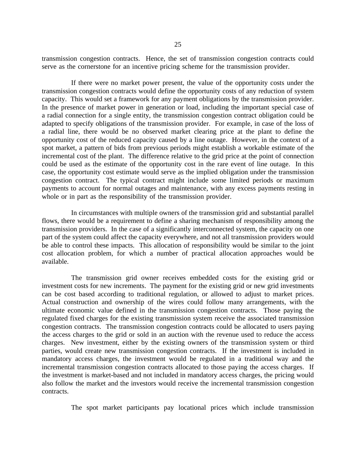transmission congestion contracts. Hence, the set of transmission congestion contracts could serve as the cornerstone for an incentive pricing scheme for the transmission provider.

If there were no market power present, the value of the opportunity costs under the transmission congestion contracts would define the opportunity costs of any reduction of system capacity. This would set a framework for any payment obligations by the transmission provider. In the presence of market power in generation or load, including the important special case of a radial connection for a single entity, the transmission congestion contract obligation could be adapted to specify obligations of the transmission provider. For example, in case of the loss of a radial line, there would be no observed market clearing price at the plant to define the opportunity cost of the reduced capacity caused by a line outage. However, in the context of a spot market, a pattern of bids from previous periods might establish a workable estimate of the incremental cost of the plant. The difference relative to the grid price at the point of connection could be used as the estimate of the opportunity cost in the rare event of line outage. In this case, the opportunity cost estimate would serve as the implied obligation under the transmission congestion contract. The typical contract might include some limited periods or maximum payments to account for normal outages and maintenance, with any excess payments resting in whole or in part as the responsibility of the transmission provider.

In circumstances with multiple owners of the transmission grid and substantial parallel flows, there would be a requirement to define a sharing mechanism of responsibility among the transmission providers. In the case of a significantly interconnected system, the capacity on one part of the system could affect the capacity everywhere, and not all transmission providers would be able to control these impacts. This allocation of responsibility would be similar to the joint cost allocation problem, for which a number of practical allocation approaches would be available.

The transmission grid owner receives embedded costs for the existing grid or investment costs for new increments. The payment for the existing grid or new grid investments can be cost based according to traditional regulation, or allowed to adjust to market prices. Actual construction and ownership of the wires could follow many arrangements, with the ultimate economic value defined in the transmission congestion contracts. Those paying the regulated fixed charges for the existing transmission system receive the associated transmission congestion contracts. The transmission congestion contracts could be allocated to users paying the access charges to the grid or sold in an auction with the revenue used to reduce the access charges. New investment, either by the existing owners of the transmission system or third parties, would create new transmission congestion contracts. If the investment is included in mandatory access charges, the investment would be regulated in a traditional way and the incremental transmission congestion contracts allocated to those paying the access charges. If the investment is market-based and not included in mandatory access charges, the pricing would also follow the market and the investors would receive the incremental transmission congestion contracts.

The spot market participants pay locational prices which include transmission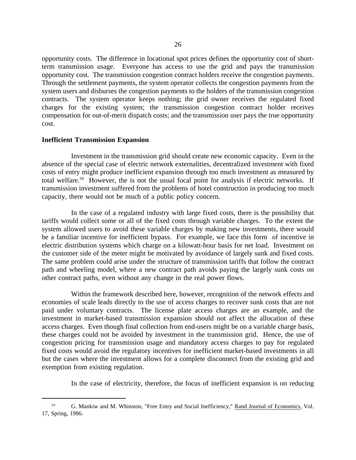opportunity costs. The difference in locational spot prices defines the opportunity cost of shortterm transmission usage. Everyone has access to use the grid and pays the transmission opportunity cost. The transmission congestion contract holders receive the congestion payments. Through the settlement payments, the system operator collects the congestion payments from the system users and disburses the congestion payments to the holders of the transmission congestion contracts. The system operator keeps nothing; the grid owner receives the regulated fixed charges for the existing system; the transmission congestion contract holder receives compensation for out-of-merit dispatch costs; and the transmission user pays the true opportunity cost.

#### **Inefficient Transmission Expansion**

Investment in the transmission grid should create new economic capacity. Even in the absence of the special case of electric network externalities, decentralized investment with fixed costs of entry might produce inefficient expansion through too much investment as measured by total welfare.<sup>24</sup> However, the is not the usual focal point for analysis if electric networks. If transmission investment suffered from the problems of hotel construction in producing too much capacity, there would not be much of a public policy concern.

In the case of a regulated industry with large fixed costs, there is the possibility that tariffs would collect some or all of the fixed costs through variable charges. To the extent the system allowed users to avoid these variable charges by making new investments, there would be a familiar incentive for inefficient bypass. For example, we face this form of incentive in electric distribution systems which charge on a kilowatt-hour basis for net load. Investment on the customer side of the meter might be motivated by avoidance of largely sunk and fixed costs. The same problem could arise under the structure of transmission tariffs that follow the contract path and wheeling model, where a new contract path avoids paying the largely sunk costs on other contract paths, even without any change in the real power flows.

Within the framework described here, however, recognition of the network effects and economies of scale leads directly to the use of access charges to recover sunk costs that are not paid under voluntary contracts. The license plate access charges are an example, and the investment in market-based transmission expansion should not affect the allocation of these access charges. Even though final collection from end-users might be on a variable charge basis, these charges could not be avoided by investment in the transmission grid. Hence, the use of congestion pricing for transmission usage and mandatory access charges to pay for regulated fixed costs would avoid the regulatory incentives for inefficient market-based investments in all but the cases where the investment allows for a complete disconnect from the existing grid and exemption from existing regulation.

In the case of electricity, therefore, the focus of inefficient expansion is on reducing

<sup>&</sup>lt;sup>24</sup> G. Mankiw and M. Whinston, "Free Entry and Social Inefficiency," Rand Journal of Economics, Vol. 17, Spring, 1986.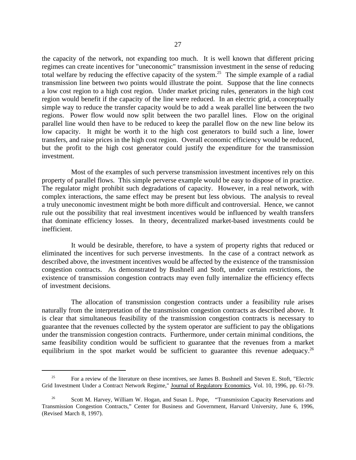the capacity of the network, not expanding too much. It is well known that different pricing regimes can create incentives for "uneconomic" transmission investment in the sense of reducing total welfare by reducing the effective capacity of the system.<sup>25</sup> The simple example of a radial transmission line between two points would illustrate the point. Suppose that the line connects a low cost region to a high cost region. Under market pricing rules, generators in the high cost region would benefit if the capacity of the line were reduced. In an electric grid, a conceptually simple way to reduce the transfer capacity would be to add a weak parallel line between the two regions. Power flow would now split between the two parallel lines. Flow on the original parallel line would then have to be reduced to keep the parallel flow on the new line below its low capacity. It might be worth it to the high cost generators to build such a line, lower transfers, and raise prices in the high cost region. Overall economic efficiency would be reduced, but the profit to the high cost generator could justify the expenditure for the transmission investment.

Most of the examples of such perverse transmission investment incentives rely on this property of parallel flows. This simple perverse example would be easy to dispose of in practice. The regulator might prohibit such degradations of capacity. However, in a real network, with complex interactions, the same effect may be present but less obvious. The analysis to reveal a truly uneconomic investment might be both more difficult and controversial. Hence, we cannot rule out the possibility that real investment incentives would be influenced by wealth transfers that dominate efficiency losses. In theory, decentralized market-based investments could be inefficient.

It would be desirable, therefore, to have a system of property rights that reduced or eliminated the incentives for such perverse investments. In the case of a contract network as described above, the investment incentives would be affected by the existence of the transmission congestion contracts. As demonstrated by Bushnell and Stoft, under certain restrictions, the existence of transmission congestion contracts may even fully internalize the efficiency effects of investment decisions.

The allocation of transmission congestion contracts under a feasibility rule arises naturally from the interpretation of the transmission congestion contracts as described above. It is clear that simultaneous feasibility of the transmission congestion contracts is necessary to guarantee that the revenues collected by the system operator are sufficient to pay the obligations under the transmission congestion contracts. Furthermore, under certain minimal conditions, the same feasibility condition would be sufficient to guarantee that the revenues from a market equilibrium in the spot market would be sufficient to guarantee this revenue adequacy.<sup>26</sup>

<sup>&</sup>lt;sup>25</sup> For a review of the literature on these incentives, see James B. Bushnell and Steven E. Stoft, "Electric Grid Investment Under a Contract Network Regime," Journal of Regulatory Economics, Vol. 10, 1996, pp. 61-79.

<sup>&</sup>lt;sup>26</sup> Scott M. Harvey, William W. Hogan, and Susan L. Pope, "Transmission Capacity Reservations and Transmission Congestion Contracts," Center for Business and Government, Harvard University, June 6, 1996, (Revised March 8, 1997).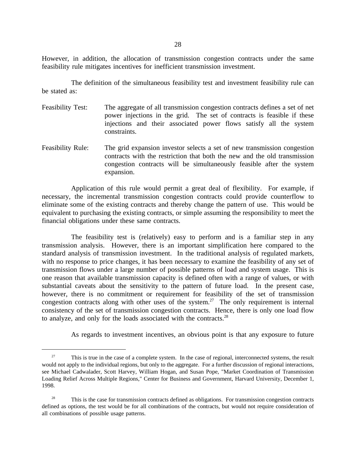However, in addition, the allocation of transmission congestion contracts under the same feasibility rule mitigates incentives for inefficient transmission investment.

The definition of the simultaneous feasibility test and investment feasibility rule can be stated as:

- Feasibility Test: The aggregate of all transmission congestion contracts defines a set of net power injections in the grid. The set of contracts is feasible if these injections and their associated power flows satisfy all the system constraints.
- Feasibility Rule: The grid expansion investor selects a set of new transmission congestion contracts with the restriction that both the new and the old transmission congestion contracts will be simultaneously feasible after the system expansion.

Application of this rule would permit a great deal of flexibility. For example, if necessary, the incremental transmission congestion contracts could provide counterflow to eliminate some of the existing contracts and thereby change the pattern of use. This would be equivalent to purchasing the existing contracts, or simple assuming the responsibility to meet the financial obligations under these same contracts.

The feasibility test is (relatively) easy to perform and is a familiar step in any transmission analysis. However, there is an important simplification here compared to the standard analysis of transmission investment. In the traditional analysis of regulated markets, with no response to price changes, it has been necessary to examine the feasibility of any set of transmission flows under a large number of possible patterns of load and system usage. This is one reason that available transmission capacity is defined often with a range of values, or with substantial caveats about the sensitivity to the pattern of future load. In the present case, however, there is no commitment or requirement for feasibility of the set of transmission congestion contracts along with other uses of the system.<sup>27</sup> The only requirement is internal consistency of the set of transmission congestion contracts. Hence, there is only one load flow to analyze, and only for the loads associated with the contracts.<sup>28</sup>

As regards to investment incentives, an obvious point is that any exposure to future

<sup>&</sup>lt;sup>27</sup> This is true in the case of a complete system. In the case of regional, interconnected systems, the result would not apply to the individual regions, but only to the aggregate. For a further discussion of regional interactions, see Michael Cadwalader, Scott Harvey, William Hogan, and Susan Pope, "Market Coordination of Transmission Loading Relief Across Multiple Regions," Center for Business and Government, Harvard University, December 1, 1998.

<sup>&</sup>lt;sup>28</sup> This is the case for transmission contracts defined as obligations. For transmission congestion contracts defined as options, the test would be for all combinations of the contracts, but would not require consideration of all combinations of possible usage patterns.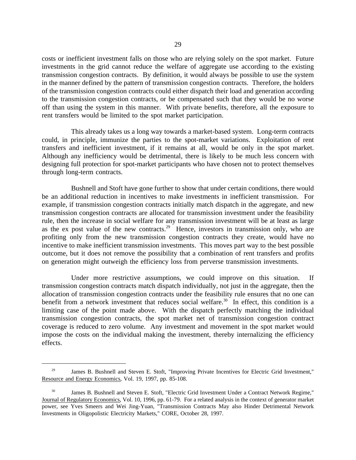costs or inefficient investment falls on those who are relying solely on the spot market. Future investments in the grid cannot reduce the welfare of aggregate use according to the existing transmission congestion contracts. By definition, it would always be possible to use the system in the manner defined by the pattern of transmission congestion contracts. Therefore, the holders of the transmission congestion contracts could either dispatch their load and generation according to the transmission congestion contracts, or be compensated such that they would be no worse off than using the system in this manner. With private benefits, therefore, all the exposure to rent transfers would be limited to the spot market participation.

This already takes us a long way towards a market-based system. Long-term contracts could, in principle, immunize the parties to the spot-market variations. Exploitation of rent transfers and inefficient investment, if it remains at all, would be only in the spot market. Although any inefficiency would be detrimental, there is likely to be much less concern with designing full protection for spot-market participants who have chosen not to protect themselves through long-term contracts.

Bushnell and Stoft have gone further to show that under certain conditions, there would be an additional reduction in incentives to make investments in inefficient transmission. For example, if transmission congestion contracts initially match dispatch in the aggregate, and new transmission congestion contracts are allocated for transmission investment under the feasibility rule, then the increase in social welfare for any transmission investment will be at least as large as the ex post value of the new contracts.<sup>29</sup> Hence, investors in transmission only, who are profiting only from the new transmission congestion contracts they create, would have no incentive to make inefficient transmission investments. This moves part way to the best possible outcome, but it does not remove the possibility that a combination of rent transfers and profits on generation might outweigh the efficiency loss from perverse transmission investments.

Under more restrictive assumptions, we could improve on this situation. If transmission congestion contracts match dispatch individually, not just in the aggregate, then the allocation of transmission congestion contracts under the feasibility rule ensures that no one can benefit from a network investment that reduces social welfare.<sup>30</sup> In effect, this condition is a limiting case of the point made above. With the dispatch perfectly matching the individual transmission congestion contracts, the spot market net of transmission congestion contract coverage is reduced to zero volume. Any investment and movement in the spot market would impose the costs on the individual making the investment, thereby internalizing the efficiency effects.

<sup>&</sup>lt;sup>29</sup> James B. Bushnell and Steven E. Stoft, "Improving Private Incentives for Electric Grid Investment," Resource and Energy Economics, Vol. 19, 1997, pp. 85-108.

<sup>&</sup>lt;sup>30</sup> James B. Bushnell and Steven E. Stoft, "Electric Grid Investment Under a Contract Network Regime," Journal of Regulatory Economics, Vol. 10, 1996, pp. 61-79. For a related analysis in the context of generator market power, see Yves Smeers and Wei Jing-Yuan, "Transmission Contracts May also Hinder Detrimental Network Investments in Oligopolistic Electricity Markets," CORE, October 28, 1997.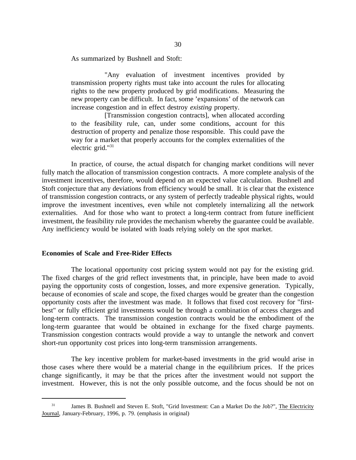As summarized by Bushnell and Stoft:

"Any evaluation of investment incentives provided by transmission property rights must take into account the rules for allocating rights to the new property produced by grid modifications. Measuring the new property can be difficult. In fact, some 'expansions' of the network can increase congestion and in effect destroy *existing* property.

[Transmission congestion contracts], when allocated according to the feasibility rule, can, under some conditions, account for this destruction of property and penalize those responsible. This could pave the way for a market that properly accounts for the complex externalities of the electric grid." $31$ 

In practice, of course, the actual dispatch for changing market conditions will never fully match the allocation of transmission congestion contracts. A more complete analysis of the investment incentives, therefore, would depend on an expected value calculation. Bushnell and Stoft conjecture that any deviations from efficiency would be small. It is clear that the existence of transmission congestion contracts, or any system of perfectly tradeable physical rights, would improve the investment incentives, even while not completely internalizing all the network externalities. And for those who want to protect a long-term contract from future inefficient investment, the feasibility rule provides the mechanism whereby the guarantee could be available. Any inefficiency would be isolated with loads relying solely on the spot market.

#### **Economies of Scale and Free-Rider Effects**

The locational opportunity cost pricing system would not pay for the existing grid. The fixed charges of the grid reflect investments that, in principle, have been made to avoid paying the opportunity costs of congestion, losses, and more expensive generation. Typically, because of economies of scale and scope, the fixed charges would be greater than the congestion opportunity costs after the investment was made. It follows that fixed cost recovery for "firstbest" or fully efficient grid investments would be through a combination of access charges and long-term contracts. The transmission congestion contracts would be the embodiment of the long-term guarantee that would be obtained in exchange for the fixed charge payments. Transmission congestion contracts would provide a way to untangle the network and convert short-run opportunity cost prices into long-term transmission arrangements.

The key incentive problem for market-based investments in the grid would arise in those cases where there would be a material change in the equilibrium prices. If the prices change significantly, it may be that the prices after the investment would not support the investment. However, this is not the only possible outcome, and the focus should be not on

<sup>&</sup>lt;sup>31</sup> James B. Bushnell and Steven E. Stoft, "Grid Investment: Can a Market Do the Job?", The Electricity Journal, January-February, 1996, p. 79. (emphasis in original)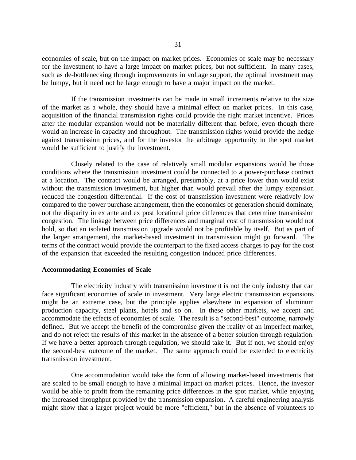economies of scale, but on the impact on market prices. Economies of scale may be necessary for the investment to have a large impact on market prices, but not sufficient. In many cases, such as de-bottlenecking through improvements in voltage support, the optimal investment may be lumpy, but it need not be large enough to have a major impact on the market.

If the transmission investments can be made in small increments relative to the size of the market as a whole, they should have a minimal effect on market prices. In this case, acquisition of the financial transmission rights could provide the right market incentive. Prices after the modular expansion would not be materially different than before, even though there would an increase in capacity and throughput. The transmission rights would provide the hedge against transmission prices, and for the investor the arbitrage opportunity in the spot market would be sufficient to justify the investment.

Closely related to the case of relatively small modular expansions would be those conditions where the transmission investment could be connected to a power-purchase contract at a location. The contract would be arranged, presumably, at a price lower than would exist without the transmission investment, but higher than would prevail after the lumpy expansion reduced the congestion differential. If the cost of transmission investment were relatively low compared to the power purchase arrangement, then the economics of generation should dominate, not the disparity in ex ante and ex post locational price differences that determine transmission congestion. The linkage between price differences and marginal cost of transmission would not hold, so that an isolated transmission upgrade would not be profitable by itself. But as part of the larger arrangement, the market-based investment in transmission might go forward. The terms of the contract would provide the counterpart to the fixed access charges to pay for the cost of the expansion that exceeded the resulting congestion induced price differences.

#### **Accommodating Economies of Scale**

The electricity industry with transmission investment is not the only industry that can face significant economies of scale in investment. Very large electric transmission expansions might be an extreme case, but the principle applies elsewhere in expansion of aluminum production capacity, steel plants, hotels and so on. In these other markets, we accept and accommodate the effects of economies of scale. The result is a "second-best" outcome, narrowly defined. But we accept the benefit of the compromise given the reality of an imperfect market, and do not reject the results of this market in the absence of a better solution through regulation. If we have a better approach through regulation, we should take it. But if not, we should enjoy the second-best outcome of the market. The same approach could be extended to electricity transmission investment.

One accommodation would take the form of allowing market-based investments that are scaled to be small enough to have a minimal impact on market prices. Hence, the investor would be able to profit from the remaining price differences in the spot market, while enjoying the increased throughput provided by the transmission expansion. A careful engineering analysis might show that a larger project would be more "efficient," but in the absence of volunteers to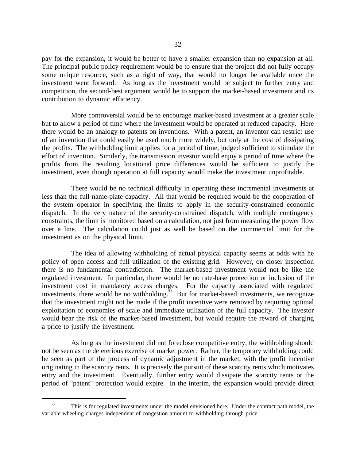pay for the expansion, it would be better to have a smaller expansion than no expansion at all. The principal public policy requirement would be to ensure that the project did not fully occupy some unique resource, such as a right of way, that would no longer be available once the investment went forward. As long as the investment would be subject to further entry and competition, the second-best argument would be to support the market-based investment and its contribution to dynamic efficiency.

More controversial would be to encourage market-based investment at a greater scale but to allow a period of time where the investment would be operated at reduced capacity. Here there would be an analogy to patents on inventions. With a patent, an inventor can restrict use of an invention that could easily be used much more widely, but only at the cost of dissipating the profits. The withholding limit applies for a period of time, judged sufficient to stimulate the effort of invention. Similarly, the transmission investor would enjoy a period of time where the profits from the resulting locational price differences would be sufficient to justify the investment, even though operation at full capacity would make the investment unprofitable.

There would be no technical difficulty in operating these incremental investments at less than the full name-plate capacity. All that would be required would be the cooperation of the system operator in specifying the limits to apply in the security-constrained economic dispatch. In the very nature of the security-constrained dispatch, with multiple contingency constraints, the limit is monitored based on a calculation, not just from measuring the power flow over a line. The calculation could just as well be based on the commercial limit for the investment as on the physical limit.

The idea of allowing withholding of actual physical capacity seems at odds with he policy of open access and full utilization of the existing grid. However, on closer inspection there is no fundamental contradiction. The market-based investment would not be like the regulated investment. In particular, there would be no rate-base protection or inclusion of the investment cost in mandatory access charges. For the capacity associated with regulated investments, there would be no withholding.<sup>32</sup> But for market-based investments, we recognize that the investment might not be made if the profit incentive were removed by requiring optimal exploitation of economies of scale and immediate utilization of the full capacity. The investor would bear the risk of the market-based investment, but would require the reward of charging a price to justify the investment.

As long as the investment did not foreclose competitive entry, the withholding should not be seen as the deleterious exercise of market power. Rather, the temporary withholding could be seen as part of the process of dynamic adjustment in the market, with the profit incentive originating in the scarcity rents. It is precisely the pursuit of these scarcity rents which motivates entry and the investment. Eventually, further entry would dissipate the scarcity rents or the period of "patent" protection would expire. In the interim, the expansion would provide direct

<sup>&</sup>lt;sup>32</sup> This is for regulated investments under the model envisioned here. Under the contract path model, the variable wheeling charges independent of congestion amount to withholding through price.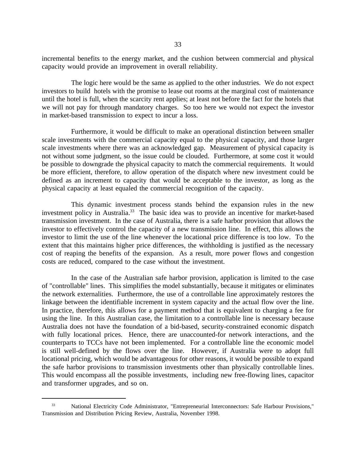incremental benefits to the energy market, and the cushion between commercial and physical capacity would provide an improvement in overall reliability.

The logic here would be the same as applied to the other industries. We do not expect investors to build hotels with the promise to lease out rooms at the marginal cost of maintenance until the hotel is full, when the scarcity rent applies; at least not before the fact for the hotels that we will not pay for through mandatory charges. So too here we would not expect the investor in market-based transmission to expect to incur a loss.

Furthermore, it would be difficult to make an operational distinction between smaller scale investments with the commercial capacity equal to the physical capacity, and those larger scale investments where there was an acknowledged gap. Measurement of physical capacity is not without some judgment, so the issue could be clouded. Furthermore, at some cost it would be possible to downgrade the physical capacity to match the commercial requirements. It would be more efficient, therefore, to allow operation of the dispatch where new investment could be defined as an increment to capacity that would be acceptable to the investor, as long as the physical capacity at least equaled the commercial recognition of the capacity.

This dynamic investment process stands behind the expansion rules in the new investment policy in Australia.<sup>33</sup> The basic idea was to provide an incentive for market-based transmission investment. In the case of Australia, there is a safe harbor provision that allows the investor to effectively control the capacity of a new transmission line. In effect, this allows the investor to limit the use of the line whenever the locational price difference is too low. To the extent that this maintains higher price differences, the withholding is justified as the necessary cost of reaping the benefits of the expansion. As a result, more power flows and congestion costs are reduced, compared to the case without the investment.

In the case of the Australian safe harbor provision, application is limited to the case of "controllable" lines. This simplifies the model substantially, because it mitigates or eliminates the network externalities. Furthermore, the use of a controllable line approximately restores the linkage between the identifiable increment in system capacity and the actual flow over the line. In practice, therefore, this allows for a payment method that is equivalent to charging a fee for using the line. In this Australian case, the limitation to a controllable line is necessary because Australia does not have the foundation of a bid-based, security-constrained economic dispatch with fully locational prices. Hence, there are unaccounted-for network interactions, and the counterparts to TCCs have not been implemented. For a controllable line the economic model is still well-defined by the flows over the line. However, if Australia were to adopt full locational pricing, which would be advantageous for other reasons, it would be possible to expand the safe harbor provisions to transmission investments other than physically controllable lines. This would encompass all the possible investments, including new free-flowing lines, capacitor and transformer upgrades, and so on.

<sup>33</sup> National Electricity Code Administrator, "Entrepreneurial Interconnectors: Safe Harbour Provisions," Transmission and Distribution Pricing Review, Australia, November 1998.